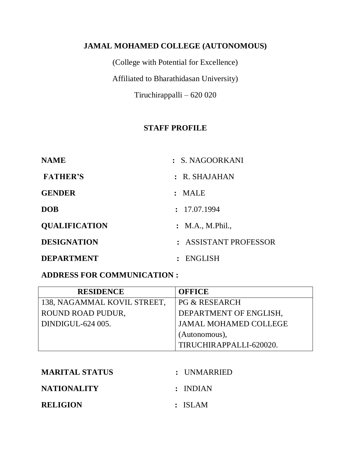#### **JAMAL MOHAMED COLLEGE (AUTONOMOUS)**

(College with Potential for Excellence) Affiliated to Bharathidasan University) Tiruchirappalli – 620 020

#### **STAFF PROFILE**

| <b>NAME</b>          | : S. NAGOORKANI       |
|----------------------|-----------------------|
| <b>FATHER'S</b>      | $:$ R. SHAJAHAN       |
| <b>GENDER</b>        | : MALE                |
| <b>DOB</b>           | : 17.07.1994          |
| <b>QUALIFICATION</b> | : M.A., M. Phil.,     |
| <b>DESIGNATION</b>   | : ASSISTANT PROFESSOR |
| <b>DEPARTMENT</b>    | : ENGLISH             |

#### **ADDRESS FOR COMMUNICATION :**

| <b>RESIDENCE</b>            | <b>OFFICE</b>                |
|-----------------------------|------------------------------|
| 138, NAGAMMAL KOVIL STREET, | <b>PG &amp; RESEARCH</b>     |
| ROUND ROAD PUDUR.           | DEPARTMENT OF ENGLISH,       |
| DINDIGUL-624 005.           | <b>JAMAL MOHAMED COLLEGE</b> |
|                             | (Autonomous),                |
|                             | TIRUCHIRAPPALLI-620020.      |

| <b>MARITAL STATUS</b> | : UNMARRIED |
|-----------------------|-------------|
| <b>NATIONALITY</b>    | : INDIAN    |
| <b>RELIGION</b>       | : ISLAM     |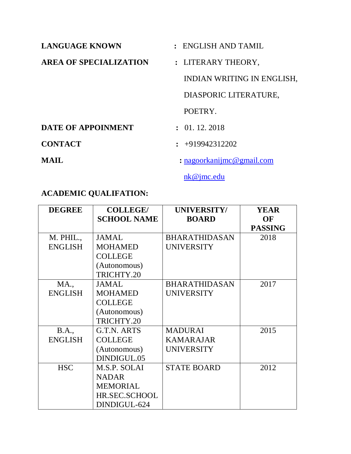| <b>LANGUAGE KNOWN</b>         | : ENGLISH AND TAMIL        |  |
|-------------------------------|----------------------------|--|
| <b>AREA OF SPECIALIZATION</b> | : LITERARY THEORY,         |  |
|                               | INDIAN WRITING IN ENGLISH, |  |
|                               | DIASPORIC LITERATURE,      |  |
|                               | POETRY.                    |  |
| <b>DATE OF APPOINMENT</b>     | $\colon$ 01, 12, 2018      |  |
| <b>CONTACT</b>                | $\div$ +919942312202       |  |
| MAIL                          | : nagoorkanijmc@gmail.com  |  |

[nk@jmc.edu](mailto:nk@jmc.edu)

# **ACADEMIC QUALIFATION:**

| <b>DEGREE</b>  | <b>COLLEGE/</b>    | <b>UNIVERSITY/</b>   | <b>YEAR</b>    |
|----------------|--------------------|----------------------|----------------|
|                | <b>SCHOOL NAME</b> | <b>BOARD</b>         | OF             |
|                |                    |                      | <b>PASSING</b> |
| M. PHIL.,      | <b>JAMAL</b>       | <b>BHARATHIDASAN</b> | 2018           |
| <b>ENGLISH</b> | <b>MOHAMED</b>     | <b>UNIVERSITY</b>    |                |
|                | <b>COLLEGE</b>     |                      |                |
|                | (Autonomous)       |                      |                |
|                | TRICHTY.20         |                      |                |
| <b>MA.,</b>    | <b>JAMAL</b>       | <b>BHARATHIDASAN</b> | 2017           |
| <b>ENGLISH</b> | <b>MOHAMED</b>     | <b>UNIVERSITY</b>    |                |
|                | <b>COLLEGE</b>     |                      |                |
|                | (Autonomous)       |                      |                |
|                | TRICHTY.20         |                      |                |
| <b>B.A.</b> ,  | G.T.N. ARTS        | <b>MADURAI</b>       | 2015           |
| <b>ENGLISH</b> | <b>COLLEGE</b>     | <b>KAMARAJAR</b>     |                |
|                | (Autonomous)       | <b>UNIVERSITY</b>    |                |
|                | DINDIGUL.05        |                      |                |
| <b>HSC</b>     | M.S.P. SOLAI       | <b>STATE BOARD</b>   | 2012           |
|                | <b>NADAR</b>       |                      |                |
|                | <b>MEMORIAL</b>    |                      |                |
|                | HR.SEC.SCHOOL      |                      |                |
|                | DINDIGUL-624       |                      |                |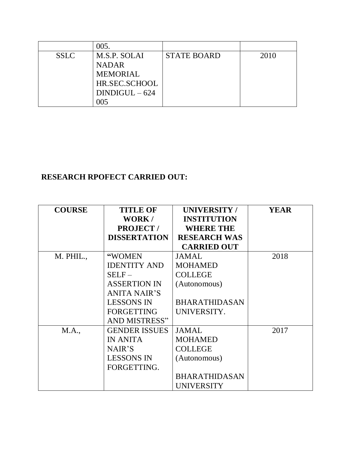|             | 005.            |                    |      |
|-------------|-----------------|--------------------|------|
| <b>SSLC</b> | M.S.P. SOLAI    | <b>STATE BOARD</b> | 2010 |
|             | <b>NADAR</b>    |                    |      |
|             | <b>MEMORIAL</b> |                    |      |
|             | HR.SEC.SCHOOL   |                    |      |
|             | $DINDIGUL-624$  |                    |      |
|             | 105             |                    |      |

# **RESEARCH RPOFECT CARRIED OUT:**

| <b>COURSE</b> | <b>TITLE OF</b>      | <b>UNIVERSITY/</b>   | <b>YEAR</b> |
|---------------|----------------------|----------------------|-------------|
|               | WORK/                | <b>INSTITUTION</b>   |             |
|               | <b>PROJECT/</b>      | <b>WHERE THE</b>     |             |
|               | <b>DISSERTATION</b>  | <b>RESEARCH WAS</b>  |             |
|               |                      | <b>CARRIED OUT</b>   |             |
| M. PHIL.,     | "WOMEN               | <b>JAMAL</b>         | 2018        |
|               | <b>IDENTITY AND</b>  | <b>MOHAMED</b>       |             |
|               | $SELF-$              | <b>COLLEGE</b>       |             |
|               | <b>ASSERTION IN</b>  | (Autonomous)         |             |
|               | ANITA NAIR'S         |                      |             |
|               | <b>LESSONS IN</b>    | <b>BHARATHIDASAN</b> |             |
|               | <b>FORGETTING</b>    | UNIVERSITY.          |             |
|               | <b>AND MISTRESS"</b> |                      |             |
| M.A.,         | <b>GENDER ISSUES</b> | <b>JAMAL</b>         | 2017        |
|               | <b>IN ANITA</b>      | <b>MOHAMED</b>       |             |
|               | NAIR'S               | <b>COLLEGE</b>       |             |
|               | <b>LESSONS IN</b>    | (Autonomous)         |             |
|               | FORGETTING.          |                      |             |
|               |                      | <b>BHARATHIDASAN</b> |             |
|               |                      | UNIVERSITY           |             |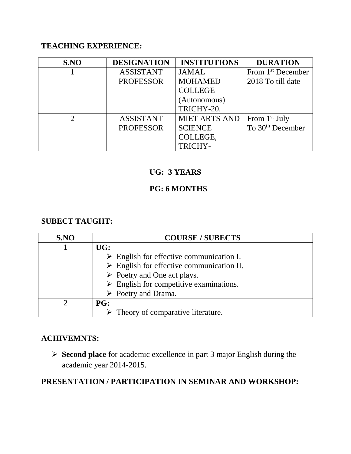#### **TEACHING EXPERIENCE:**

| S.NO | <b>DESIGNATION</b> | <b>INSTITUTIONS</b>  | <b>DURATION</b>               |
|------|--------------------|----------------------|-------------------------------|
|      | <b>ASSISTANT</b>   | <b>JAMAL</b>         | From 1 <sup>st</sup> December |
|      | <b>PROFESSOR</b>   | <b>MOHAMED</b>       | 2018 To till date             |
|      |                    | <b>COLLEGE</b>       |                               |
|      |                    | (Autonomous)         |                               |
|      |                    | TRICHY-20.           |                               |
|      | <b>ASSISTANT</b>   | <b>MIET ARTS AND</b> | From 1 <sup>st</sup> July     |
|      | <b>PROFESSOR</b>   | <b>SCIENCE</b>       | To 30 <sup>th</sup> December  |
|      |                    | COLLEGE,             |                               |
|      |                    | TRICHY-              |                               |

# **UG: 3 YEARS**

# **PG: 6 MONTHS**

#### **SUBECT TAUGHT:**

| S.NO | <b>COURSE / SUBECTS</b>                                  |
|------|----------------------------------------------------------|
|      | UG:                                                      |
|      | $\triangleright$ English for effective communication I.  |
|      | $\triangleright$ English for effective communication II. |
|      | $\triangleright$ Poetry and One act plays.               |
|      | $\triangleright$ English for competitive examinations.   |
|      | $\triangleright$ Poetry and Drama.                       |
|      | <b>PG:</b>                                               |
|      | $\triangleright$ Theory of comparative literature.       |

#### **ACHIVEMNTS:**

 **Second place** for academic excellence in part 3 major English during the academic year 2014-2015.

# **PRESENTATION / PARTICIPATION IN SEMINAR AND WORKSHOP:**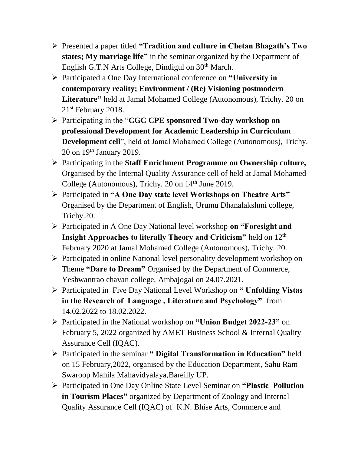- Presented a paper titled **"Tradition and culture in Chetan Bhagath's Two states; My marriage life"** in the seminar organized by the Department of English G.T.N Arts College, Dindigul on 30<sup>th</sup> March.
- Participated a One Day International conference on **"University in contemporary reality; Environment / (Re) Visioning postmodern Literature"** held at Jamal Mohamed College (Autonomous), Trichy. 20 on 21st February 2018.
- Participating in the "**CGC CPE sponsored Two-day workshop on professional Development for Academic Leadership in Curriculum Development cell**", held at Jamal Mohamed College (Autonomous), Trichy. 20 on 19th January 2019.
- Participating in the **Staff Enrichment Programme on Ownership culture,** Organised by the Internal Quality Assurance cell of held at Jamal Mohamed College (Autonomous), Trichy. 20 on 14<sup>th</sup> June 2019.
- Participated in **"A One Day state level Workshops on Theatre Arts"** Organised by the Department of English, Urumu Dhanalakshmi college, Trichy.20.
- Participated in A One Day National level workshop **on "Foresight and Insight Approaches to literally Theory and Criticism"** held on 12<sup>th</sup> February 2020 at Jamal Mohamed College (Autonomous), Trichy. 20.
- Participated in online National level personality development workshop on Theme **"Dare to Dream"** Organised by the Department of Commerce, Yeshwantrao chavan college, Ambajogai on 24.07.2021.
- Participated in Five Day National Level Workshop on **" Unfolding Vistas in the Research of Language , Literature and Psychology"** from 14.02.2022 to 18.02.2022.
- Participated in the National workshop on **"Union Budget 2022-23"** on February 5, 2022 organized by AMET Business School & Internal Quality Assurance Cell (IQAC).
- Participated in the seminar **" Digital Transformation in Education"** held on 15 February,2022, organised by the Education Department, Sahu Ram Swaroop Mahila Mahavidyalaya,Bareilly UP.
- Participated in One Day Online State Level Seminar on **"Plastic Pollution in Tourism Places"** organized by Department of Zoology and Internal Quality Assurance Cell (IQAC) of K.N. Bhise Arts, Commerce and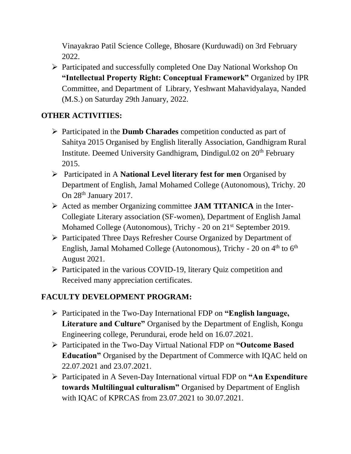Vinayakrao Patil Science College, Bhosare (Kurduwadi) on 3rd February 2022.

 Participated and successfully completed One Day National Workshop On **"Intellectual Property Right: Conceptual Framework"** Organized by IPR Committee, and Department of Library, Yeshwant Mahavidyalaya, Nanded (M.S.) on Saturday 29th January, 2022.

# **OTHER ACTIVITIES:**

- Participated in the **Dumb Charades** competition conducted as part of Sahitya 2015 Organised by English literally Association, Gandhigram Rural Institute. Deemed University Gandhigram, Dindigul.02 on 20<sup>th</sup> February 2015.
- Participated in A **National Level literary fest for men** Organised by Department of English, Jamal Mohamed College (Autonomous), Trichy. 20 On 28<sup>th</sup> January 2017.
- Acted as member Organizing committee **JAM TITANICA** in the Inter-Collegiate Literary association (SF-women), Department of English Jamal Mohamed College (Autonomous), Trichy - 20 on 21<sup>st</sup> September 2019.
- Participated Three Days Refresher Course Organized by Department of English, Jamal Mohamed College (Autonomous), Trichy - 20 on 4<sup>th</sup> to 6<sup>th</sup> August 2021.
- $\triangleright$  Participated in the various COVID-19, literary Quiz competition and Received many appreciation certificates.

# **FACULTY DEVELOPMENT PROGRAM:**

- Participated in the Two-Day International FDP on **"English language, Literature and Culture"** Organised by the Department of English, Kongu Engineering college, Perundurai, erode held on 16.07.2021.
- Participated in the Two-Day Virtual National FDP on **"Outcome Based Education"** Organised by the Department of Commerce with IQAC held on 22.07.2021 and 23.07.2021.
- Participated in A Seven-Day International virtual FDP on **"An Expenditure towards Multilingual culturalism"** Organised by Department of English with IQAC of KPRCAS from 23.07.2021 to 30.07.2021.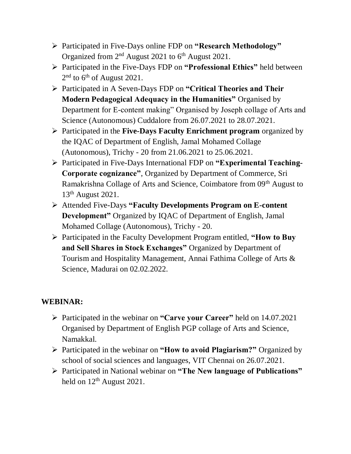- Participated in Five-Days online FDP on **"Research Methodology"** Organized from  $2<sup>nd</sup>$  August 2021 to  $6<sup>th</sup>$  August 2021.
- Participated in the Five-Days FDP on **"Professional Ethics"** held between  $2<sup>nd</sup>$  to 6<sup>th</sup> of August 2021.
- Participated in A Seven-Days FDP on **"Critical Theories and Their Modern Pedagogical Adequacy in the Humanities"** Organised by Department for E-content making" Organised by Joseph collage of Arts and Science (Autonomous) Cuddalore from 26.07.2021 to 28.07.2021.
- Participated in the **Five-Days Faculty Enrichment program** organized by the IQAC of Department of English, Jamal Mohamed Collage (Autonomous), Trichy - 20 from 21.06.2021 to 25.06.2021.
- Participated in Five-Days International FDP on **"Experimental Teaching-Corporate cognizance"**, Organized by Department of Commerce, Sri Ramakrishna Collage of Arts and Science, Coimbatore from 09th August to 13th August 2021.
- Attended Five-Days **"Faculty Developments Program on E-content Development"** Organized by IQAC of Department of English, Jamal Mohamed Collage (Autonomous), Trichy - 20.
- Participated in the Faculty Development Program entitled, **"How to Buy and Sell Shares in Stock Exchanges"** Organized by Department of Tourism and Hospitality Management, Annai Fathima College of Arts & Science, Madurai on 02.02.2022.

# **WEBINAR:**

- Participated in the webinar on **"Carve your Career"** held on 14.07.2021 Organised by Department of English PGP collage of Arts and Science, Namakkal.
- Participated in the webinar on **"How to avoid Plagiarism?"** Organized by school of social sciences and languages, VIT Chennai on 26.07.2021.
- Participated in National webinar on **"The New language of Publications"** held on  $12<sup>th</sup>$  August 2021.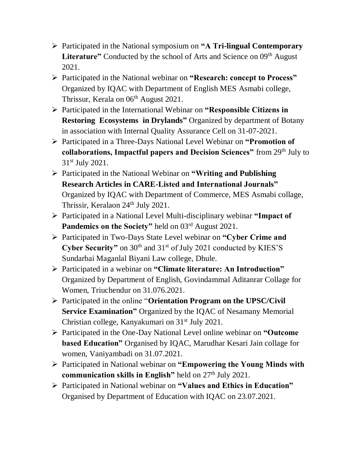- Participated in the National symposium on **"A Tri-lingual Contemporary**  Literature" Conducted by the school of Arts and Science on 09<sup>th</sup> August 2021.
- Participated in the National webinar on **"Research: concept to Process"** Organized by IQAC with Department of English MES Asmabi college, Thrissur, Kerala on 06<sup>th</sup> August 2021.
- Participated in the International Webinar on **"Responsible Citizens in Restoring Ecosystems in Drylands"** Organized by department of Botany in association with Internal Quality Assurance Cell on 31-07-2021.
- Participated in a Three-Days National Level Webinar on **"Promotion of collaborations, Impactful papers and Decision Sciences"** from 29<sup>th</sup> July to 31st July 2021.
- Participated in the National Webinar on **"Writing and Publishing Research Articles in CARE-Listed and International Journals"** Organized by IQAC with Department of Commerce, MES Asmabi collage, Thrissir, Keralaon 24<sup>th</sup> July 2021.
- Participated in a National Level Multi-disciplinary webinar **"Impact of**  Pandemics on the Society" held on 03<sup>rd</sup> August 2021.
- Participated in Two-Days State Level webinar on **"Cyber Crime and**  Cyber Security" on 30<sup>th</sup> and 31<sup>st</sup> of July 2021 conducted by KIES'S Sundarbai Maganlal Biyani Law college, Dhule.
- Participated in a webinar on **"Climate literature: An Introduction"** Organized by Department of English, Govindammal Aditanrar Collage for Women, Triuchendur on 31.076.2021.
- Participated in the online "**Orientation Program on the UPSC/Civil Service Examination"** Organized by the IQAC of Nesamany Memorial Christian college, Kanyakumari on 31<sup>st</sup> July 2021.
- Participated in the One-Day National Level online webinar on **"Outcome based Education"** Organised by IQAC, Marudhar Kesari Jain collage for women, Vaniyambadi on 31.07.2021.
- Participated in National webinar on **"Empowering the Young Minds with communication skills in English"** held on 27<sup>th</sup> July 2021.
- Participated in National webinar on **"Values and Ethics in Education"** Organised by Department of Education with IQAC on 23.07.2021.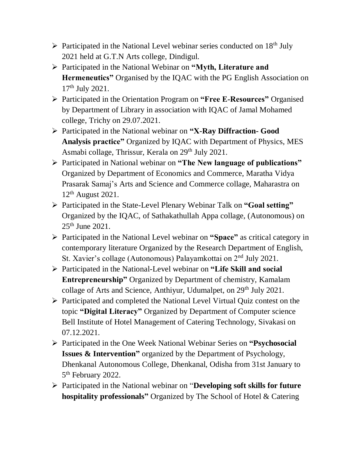- $\triangleright$  Participated in the National Level webinar series conducted on 18<sup>th</sup> July 2021 held at G.T.N Arts college, Dindigul.
- Participated in the National Webinar on **"Myth, Literature and Hermeneutics"** Organised by the IQAC with the PG English Association on 17th July 2021.
- Participated in the Orientation Program on **"Free E-Resources"** Organised by Department of Library in association with IQAC of Jamal Mohamed college, Trichy on 29.07.2021.
- Participated in the National webinar on **"X-Ray Diffraction- Good Analysis practice"** Organized by IQAC with Department of Physics, MES Asmabi collage, Thrissur, Kerala on 29<sup>th</sup> July 2021.
- Participated in National webinar on **"The New language of publications"** Organized by Department of Economics and Commerce, Maratha Vidya Prasarak Samaj's Arts and Science and Commerce collage, Maharastra on 12th August 2021.
- Participated in the State-Level Plenary Webinar Talk on **"Goal setting"** Organized by the IQAC, of Sathakathullah Appa collage, (Autonomous) on 25th June 2021.
- Participated in the National Level webinar on **"Space"** as critical category in contemporary literature Organized by the Research Department of English, St. Xavier's collage (Autonomous) Palayamkottai on 2nd July 2021.
- Participated in the National-Level webinar on **"Life Skill and social Entrepreneurship"** Organized by Department of chemistry, Kamalam collage of Arts and Science, Anthiyur, Udumalpet, on 29<sup>th</sup> July 2021.
- Participated and completed the National Level Virtual Quiz contest on the topic **"Digital Literacy"** Organized by Department of Computer science Bell Institute of Hotel Management of Catering Technology, Sivakasi on 07.12.2021.
- Participated in the One Week National Webinar Series on **"Psychosocial Issues & Intervention"** organized by the Department of Psychology, Dhenkanal Autonomous College, Dhenkanal, Odisha from 31st January to 5<sup>th</sup> February 2022.
- Participated in the National webinar on "**Developing soft skills for future hospitality professionals"** Organized by The School of Hotel & Catering